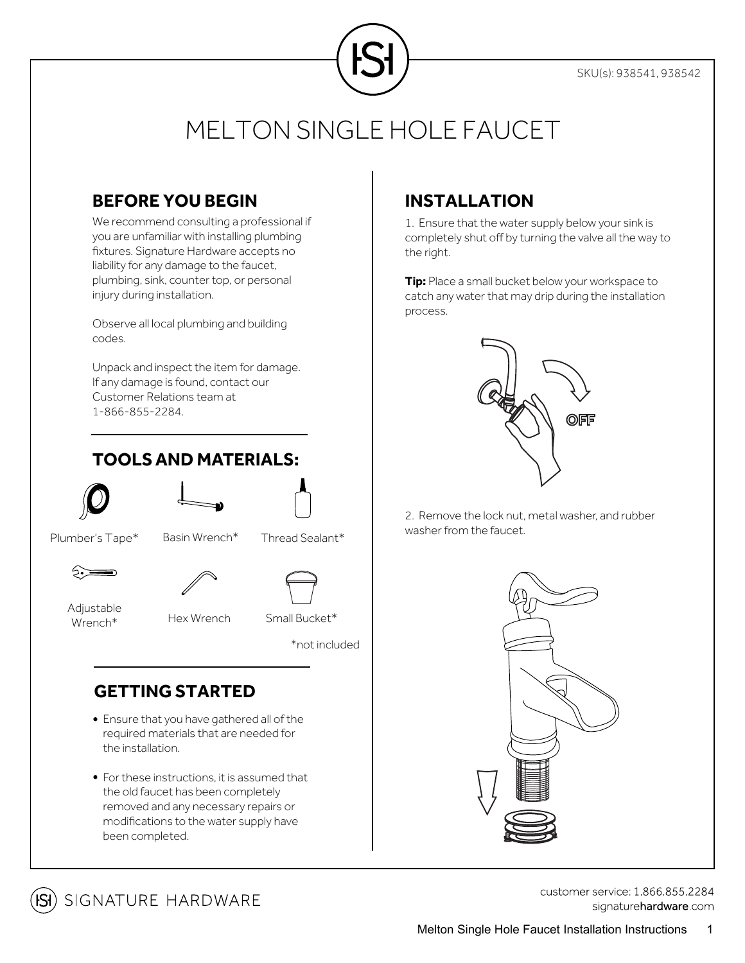

## MELTON SINGLE HOLE FAUCET

### **BEFORE YOU BEGIN**

We recommend consulting a professional if you are unfamiliar with installing plumbing fixtures. Signature Hardware accepts no liability for any damage to the faucet, plumbing, sink, counter top, or personal injury during installation.

Observe all local plumbing and building codes.

Unpack and inspect the item for damage. If any damage is found, contact our Customer Relations team at 1-866-855-2284.

## **TOOLSAND MATERIALS:**





Plumber's Tape\* Basin Wrench\* Thread Sealant\*



Adjustable Wrench\*

Hex Wrench Small Bucket\*

\*not included

## **GETTING STARTED**

- Ensure that you have gathered all of the required materials that are needed for the installation.
- For these instructions, it is assumed that the old faucet has been completely removed and any necessary repairs or modifications to the water supply have been completed.

## **INSTALLATION**

1. Ensure that the water supply below your sink is completely shut off by turning the valve all the way to the right.

**Tip:** Place a small bucket below your workspace to catch any water that may drip during the installation process.



2. Remove the lock nut, metal washer, and rubber washer from the faucet.





customer service: 1.866.855.2284 signaturehardware.com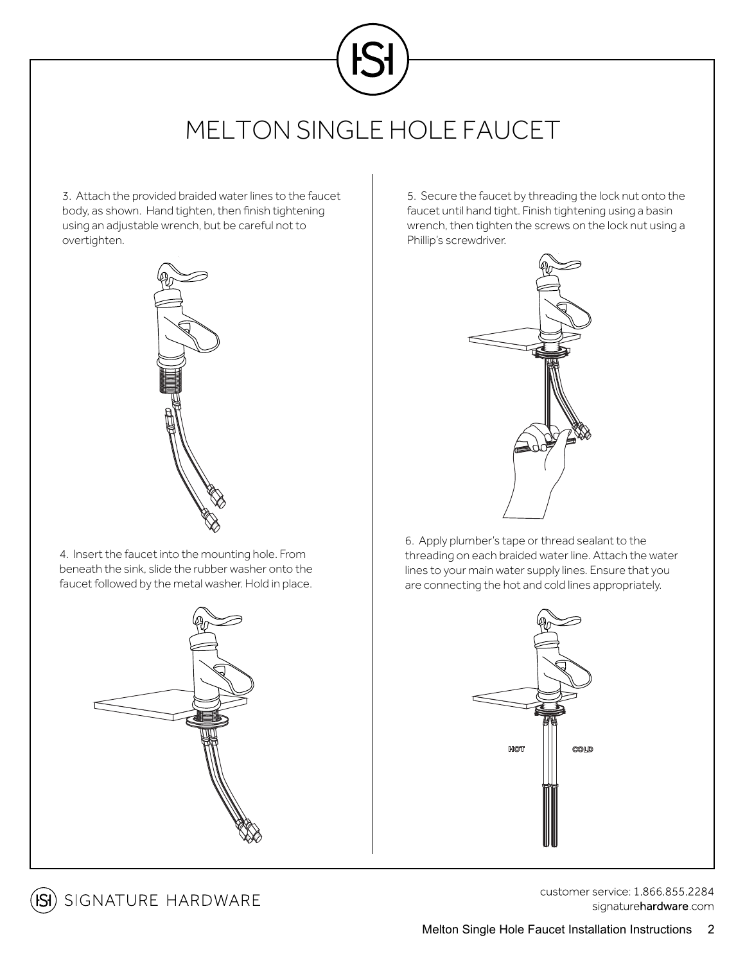

3. Attach the provided braided water lines to the faucet body, as shown. Hand tighten, then finish tightening using an adjustable wrench, but be careful not to overtighten.



4. Insert the faucet into the mounting hole. From beneath the sink, slide the rubber washer onto the faucet followed by the metal washer. Hold in place.



**ISI**) SIGNATURE HARDWARE

5. Secure the faucet by threading the lock nut onto the faucet until hand tight. Finish tightening using a basin wrench, then tighten the screws on the lock nut using a Phillip's screwdriver.



6. Apply plumber's tape or thread sealant to the threading on each braided water line. Attach the water lines to your main water supply lines. Ensure that you are connecting the hot and cold lines appropriately.



customer service: 1.866.855.2284 signaturehardware.com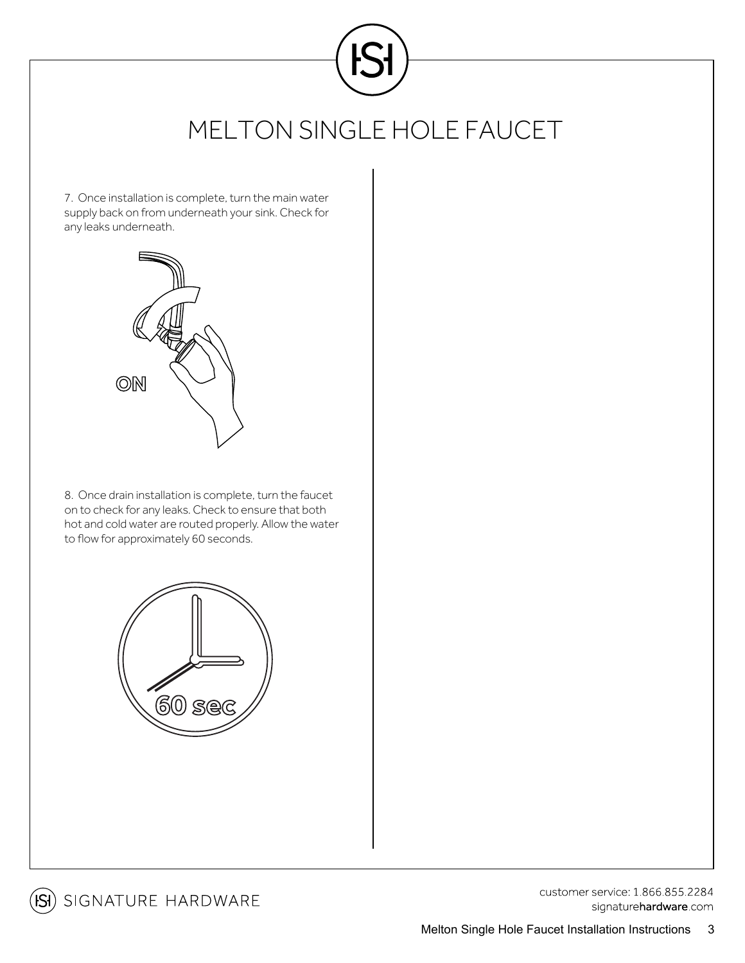

## MELTON SINGLE HOLE FAUCET

7. Once installation is complete, turn the main water supply back on from underneath your sink. Check for any leaks underneath.



8. Once drain installation is complete, turn the faucet on to check for any leaks. Check to ensure that both hot and cold water are routed properly. Allow the water to flow for approximately 60 seconds.





(SI) SIGNATURE HARDWARE

customer service: 1.866.855.2284 signaturehardware com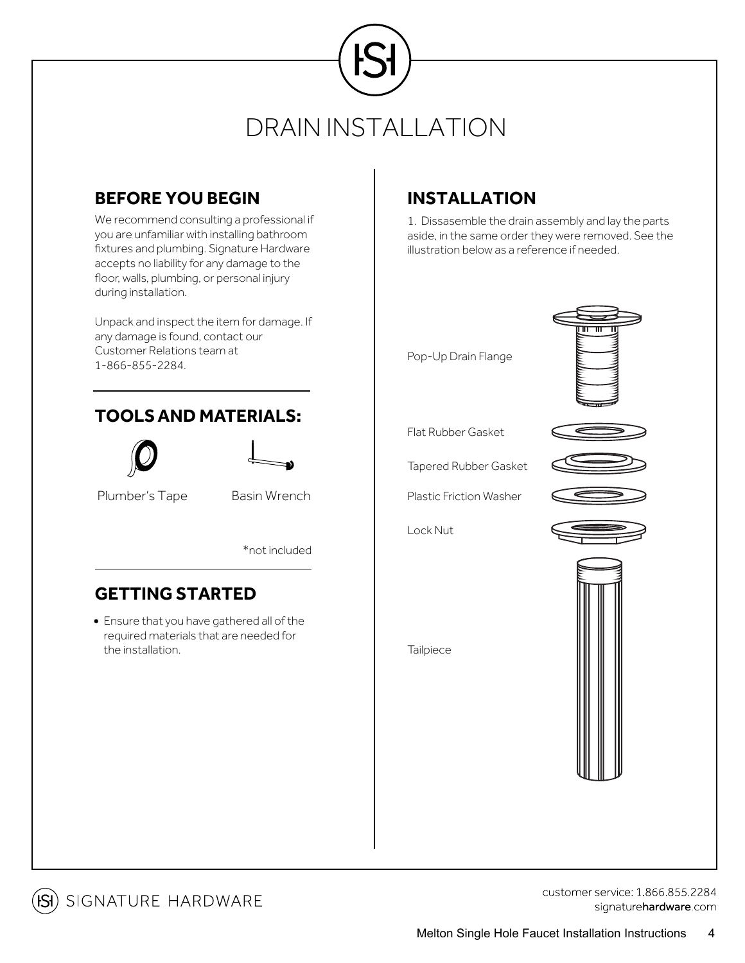# DRAIN INSTALLATION

## **BEFORE YOU BEGIN**

We recommend consulting a professional if you are unfamiliar with installing bathroom fixtures and plumbing. Signature Hardware accepts no liability for any damage to the floor, walls, plumbing, or personal injury during installation.

Unpack and inspect the item for damage. If any damage is found, contact our Customer Relations team at 1-866-855-2284.

## **TOOLSAND MATERIALS:**





Plumber's Tape Basin Wrench

\*not included

### **GETTING STARTED**

Ensure that you have gathered all of the required materials that are needed for the installation.

## **INSTALLATION**

1. Dissasemble the drain assembly and lay the parts aside, in the same order they were removed. See the illustration below as a reference if needed.





Flat Rubber Gasket

Tapered Rubber Gasket

Plastic Friction Washer

Lock Nut



**Tailpiece** 



**ISI**) SIGNATURE HARDWARE

customer service: 1 866 855 2284 signaturehardware.com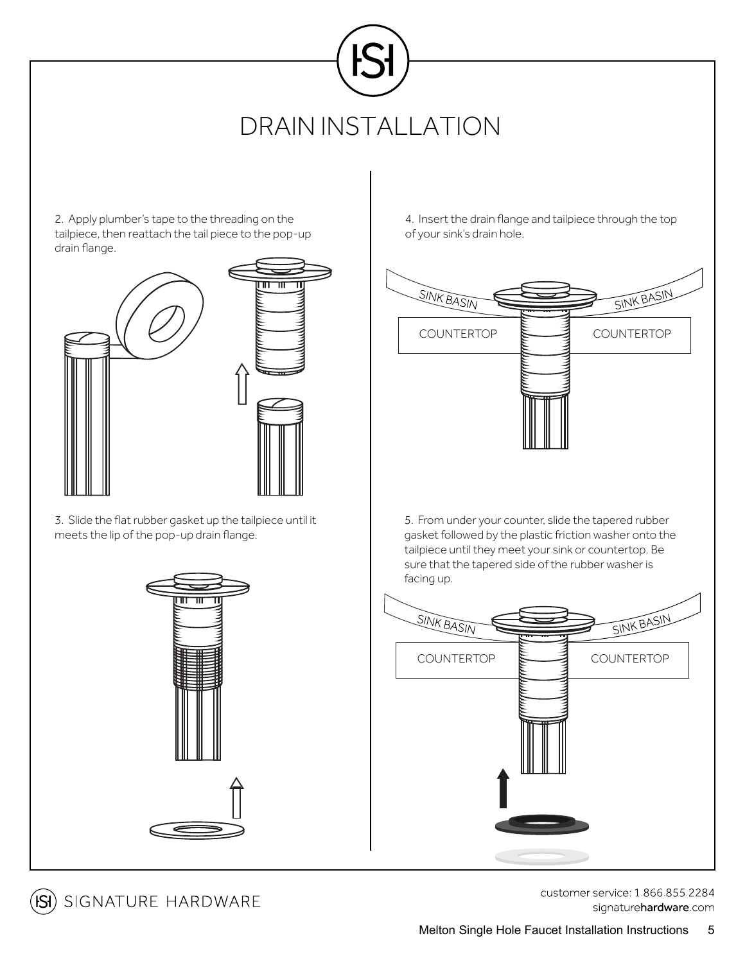# DRAIN INSTALLATION

2. Apply plumber's tape to the threading on the tailpiece, then reattach the tail piece to the pop-up drain flange.



3. Slide the flat rubber gasket up the tailpiece until it meets the lip of the pop-up drain flange.



4. Insert the drain flange and tailpiece through the top of your sink's drain hole.



5. From under your counter, slide the tapered rubber gasket followed by the plastic friction washer onto the tailpiece until they meet your sink or countertop. Be sure that the tapered side of the rubber washer is facing up.





customer service: 1 866 855 2284 signaturehardware.com